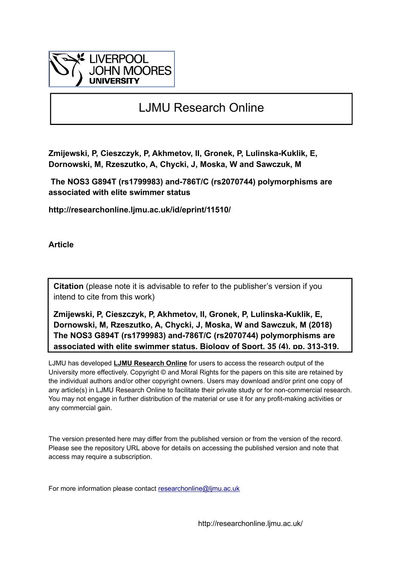

# LJMU Research Online

**Zmijewski, P, Cieszczyk, P, Akhmetov, II, Gronek, P, Lulinska-Kuklik, E, Dornowski, M, Rzeszutko, A, Chycki, J, Moska, W and Sawczuk, M**

 **The NOS3 G894T (rs1799983) and-786T/C (rs2070744) polymorphisms are associated with elite swimmer status**

**http://researchonline.ljmu.ac.uk/id/eprint/11510/**

**Article**

**Citation** (please note it is advisable to refer to the publisher's version if you intend to cite from this work)

**Zmijewski, P, Cieszczyk, P, Akhmetov, II, Gronek, P, Lulinska-Kuklik, E, Dornowski, M, Rzeszutko, A, Chycki, J, Moska, W and Sawczuk, M (2018) The NOS3 G894T (rs1799983) and-786T/C (rs2070744) polymorphisms are associated with elite swimmer status. Biology of Sport, 35 (4). pp. 313-319.** 

LJMU has developed **[LJMU Research Online](http://researchonline.ljmu.ac.uk/)** for users to access the research output of the University more effectively. Copyright © and Moral Rights for the papers on this site are retained by the individual authors and/or other copyright owners. Users may download and/or print one copy of any article(s) in LJMU Research Online to facilitate their private study or for non-commercial research. You may not engage in further distribution of the material or use it for any profit-making activities or any commercial gain.

The version presented here may differ from the published version or from the version of the record. Please see the repository URL above for details on accessing the published version and note that access may require a subscription.

For more information please contact researchonline@limu.ac.uk

http://researchonline.ljmu.ac.uk/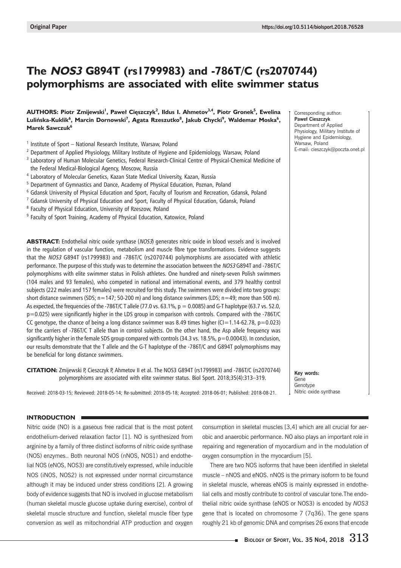## **The NOS3 G894T (rs1799983) and -786T/C (rs2070744) polymorphisms are associated with elite swimmer status**

## **AUTHORS: Piotr Zmijewski<sup>1</sup> , Paweł Cięszczyk<sup>2</sup> , Ildus I. Ahmetov3,4, Piotr Gronek5 , Ewelina Lulińska-Kuklik<sup>6</sup> , Marcin Dornowski<sup>7</sup> , Agata Rzeszutko<sup>8</sup> , Jakub Chycki<sup>9</sup> , Waldemar Moska<sup>6</sup> , Marek Sawczuk<sup>6</sup>**

- $1$  Institute of Sport National Research Institute, Warsaw, Poland
- <sup>2</sup> Department of Applied Physiology, Military Institute of Hygiene and Epidemiology, Warsaw, Poland
- <sup>3</sup> Laboratory of Human Molecular Genetics, Federal Research-Clinical Centre of Physical-Chemical Medicine of the Federal Medical-Biological Agency, Moscow, Russia
- <sup>4</sup> Laboratory of Molecular Genetics, Kazan State Medical University, Kazan, Russia
- <sup>5</sup> Department of Gymnastics and Dance, Academy of Physical Education, Poznan, Poland
- <sup>6</sup> Gdansk University of Physical Education and Sport, Faculty of Tourism and Recreation, Gdansk, Poland
- <sup>7</sup> Gdansk University of Physical Education and Sport, Faculty of Physical Education, Gdansk, Poland
- <sup>8</sup> Faculty of Physical Education, University of Rzeszow, Poland
- <sup>9</sup> Faculty of Sport Training, Academy of Physical Education, Katowice, Poland

**ABSTRACT:** Endothelial nitric oxide synthase (NOS3) generates nitric oxide in blood vessels and is involved in the regulation of vascular function, metabolism and muscle fibre type transformations. Evidence suggests that the NOS3 G894T (rs1799983) and -786T/C (rs2070744) polymorphisms are associated with athletic performance. The purpose of this study was to determine the association between the NOS3 G894T and -786T/C polymorphisms with elite swimmer status in Polish athletes. One hundred and ninety-seven Polish swimmers (104 males and 93 females), who competed in national and international events, and 379 healthy control subjects (222 males and 157 females) were recruited for this study. The swimmers were divided into two groups: short distance swimmers (SDS; n=147; 50-200 m) and long distance swimmers (LDS; n=49; more than 500 m). As expected, the frequencies of the -786T/C T allele (77.0 vs. 63.1%,  $p = 0.0085$ ) and G-T haplotype (63.7 vs. 52.0, p=0.025) were significantly higher in the LDS group in comparison with controls. Compared with the -786T/C CC genotype, the chance of being a long distance swimmer was 8.49 times higher (CI=1.14-62.78, p=0.023) for the carriers of -786T/C T allele than in control subjects. On the other hand, the Asp allele frequency was significantly higher in the female SDS group compared with controls  $(34.3 \text{ vs. } 18.5\% , p=0.00043)$ . In conclusion, our results demonstrate that the T allele and the G-T haplotype of the -786T/C and G894T polymorphisms may be beneficial for long distance swimmers.

**CITATION:** Zmijewski P, Cieszczyk P, Ahmetov II et al. The NOS3 G894T (rs1799983) and -786T/C (rs2070744) polymorphisms are associated with elite swimmer status. Biol Sport. 2018;35(4):313–319.

Received: 2018-03-15; Reviewed: 2018-05-14; Re-submitted: 2018-05-18; Accepted: 2018-06-01; Published: 2018-08-21.

## **INTRODUCTION**

Nitric oxide (NO) is a gaseous free radical that is the most potent endothelium-derived relaxation factor [1]. NO is synthesized from arginine by a family of three distinct isoforms of nitric oxide synthase (NOS) enzymes.. Both neuronal NOS (nNOS, NOS1) and endothelial NOS (eNOS, NOS3) are constitutively expressed, while inducible NOS (iNOS, NOS2) is not expressed under normal circumstance although it may be induced under stress conditions [2]. A growing body of evidence suggests that NO is involved in glucose metabolism (human skeletal muscle glucose uptake during exercise), control of skeletal muscle structure and function, skeletal muscle fiber type conversion as well as mitochondrial ATP production and oxygen

consumption in skeletal muscles [3,4] which are all crucial for aerobic and anaerobic performance. NO also plays an important role in repairing and regeneration of myocardium and in the modulation of oxygen consumption in the myocardium [5].

There are two NOS isoforms that have been identified in skeletal muscle – nNOS and eNOS. nNOS is the primary isoform to be found in skeletal muscle, whereas eNOS is mainly expressed in endothelial cells and mostly contribute to control of vascular tone.The endothelial nitric oxide synthase (eNOS or NOS3) is encoded by *NOS3* gene that is located on chromosome 7 (7q36). The gene spans roughly 21 kb of genomic DNA and comprises 26 exons that encode

Corresponding author: **Paweł Cieszczyk** Department of Applied Physiology, Military Institute of Hygiene and Epidemiology, Warsaw, Poland E-mail: cieszczyk@poczta.onet.pl

**Key words:** Gene Genotype Nitric oxide synthase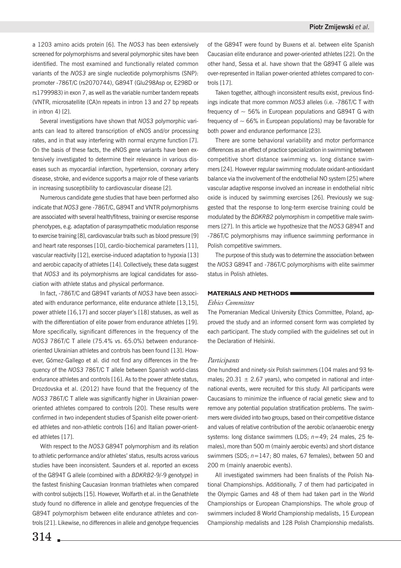a 1203 amino acids protein [6]. The *NOS3* has been extensively screened for polymorphisms and several polymorphic sites have been identified. The most examined and functionally related common variants of the *NOS3* are single nucleotide polymorphisms (SNP): promoter -786T/C (rs2070744), G894T (Glu298Asp or, E298D or rs1799983) in exon 7, as well as the variable number tandem repeats (VNTR, microsatellite (CA)n repeats in intron 13 and 27 bp repeats in intron 4) [2].

Several investigations have shown that *NOS3* polymorphic variants can lead to altered transcription of eNOS and/or processing rates, and in that way interfering with normal enzyme function [7]. On the basis of these facts, the eNOS gene variants have been extensively investigated to determine their relevance in various diseases such as myocardial infarction, hypertension, coronary artery disease, stroke, and evidence supports a major role of these variants in increasing susceptibility to cardiovascular disease [2].

Numerous candidate gene studies that have been performed also indicate that *NOS3* gene -786T/C, G894T and VNTR polymorphisms are associated with several health/fitness, training or exercise response phenotypes, e.g. adaptation of parasympathetic modulation response to exercise training [8], cardiovascular traits such as blood pressure [9] and heart rate responses [10], cardio-biochemical parameters [11], vascular reactivity [12], exercise-induced adaptation to hypoxia [13] and aerobic capacity of athletes [14]. Collectively, these data suggest that *NOS3* and its polymorphisms are logical candidates for association with athlete status and physical performance.

In fact, -786T/C and G894T variants of *NOS3* have been associated with endurance performance, elite endurance athlete [13,15], power athlete [16,17] and soccer player's [18] statuses, as well as with the differentiation of elite power from endurance athletes [19]. More specifically, significant differences in the frequency of the *NOS3* 786T/C T allele (75.4% vs. 65.0%) between enduranceoriented Ukrainian athletes and controls has been found [13]. However, Gómez-Gallego et al. did not find any differences in the frequency of the *NOS3* 786T/C T allele between Spanish world-class endurance athletes and controls [16]. As to the power athlete status, Drozdovska et al. (2012) have found that the frequency of the *NOS3* 786T/C T allele was significantly higher in Ukrainian poweroriented athletes compared to controls [20]. These results were confirmed in two independent studies of Spanish elite power-oriented athletes and non-athletic controls [16] and Italian power-oriented athletes [17].

With respect to the *NOS3* G894T polymorphism and its relation to athletic performance and/or athletes' status, results across various studies have been inconsistent. Saunders et al. reported an excess of the G894T G allele (combined with a *BDKRB2*-9/-9 genotype) in the fastest finishing Caucasian Ironman triathletes when compared with control subjects [15]. However, Wolfarth et al. in the Genathlete study found no difference in allele and genotype frequencies of the G894T polymorphism between elite endurance athletes and controls [21]. Likewise, no differences in allele and genotype frequencies of the G894T were found by Buxens et al. between elite Spanish Caucasian elite endurance and power-oriented athletes [22]. On the other hand, Sessa et al. have shown that the G894T G allele was over-represented in Italian power-oriented athletes compared to controls [17].

Taken together, although inconsistent results exist, previous findings indicate that more common *NOS3* alleles (i.e. -786T/C T with frequency of  $\sim$  56% in European populations and G894T G with frequency of  $\sim$  66% in European populations) may be favorable for both power and endurance performance [23].

There are some behavioral variability and motor performance differences as an effect of practice specialization in swimming between competitive short distance swimming vs. long distance swimmers [24]. However regular swimming modulate oxidant-antioxidant balance via the involvement of the endothelial NO system [25] where vascular adaptive response involved an increase in endothelial nitric oxide is induced by swimming exercises [26]. Previously we suggested that the response to long-term exercise training could be modulated by the *BDKRB2* polymorphism in competitive male swimmers [27]. In this article we hypothesize that the *NOS3* G894T and -786T/C polymorphisms may influence swimming performance in Polish competitive swimmers.

The purpose of this study was to determine the association between the *NOS3* G894T and -786T/C polymorphisms with elite swimmer status in Polish athletes.

### **MATERIALS AND METHODS**

## *Ethics Committee*

The Pomeranian Medical University Ethics Committee, Poland, approved the study and an informed consent form was completed by each participant. The study complied with the guidelines set out in the Declaration of Helsinki.

#### *Participants*

One hundred and ninety-six Polish swimmers (104 males and 93 females;  $20.31 \pm 2.67$  years), who competed in national and international events, were recruited for this study. All participants were Caucasians to minimize the influence of racial genetic skew and to remove any potential population stratification problems. The swimmers were divided into two groups, based on their competitive distance and values of relative contribution of the aerobic or/anaerobic energy systems: long distance swimmers (LDS; *n*=49; 24 males, 25 females), more than 500 m (mainly aerobic events) and short distance swimmers (SDS; *n*=147; 80 males, 67 females), between 50 and 200 m (mainly anaerobic events).

All investigated swimmers had been finalists of the Polish National Championships. Additionally, 7 of them had participated in the Olympic Games and 48 of them had taken part in the World Championships or European Championships. The whole group of swimmers included 8 World Championship medalists, 15 European Championship medalists and 128 Polish Championship medalists.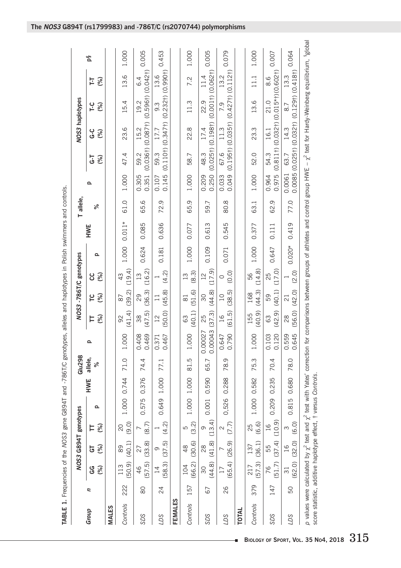|                |     |                          |                      |                         |             |            |              |                    |                         |                               |                  |          | TABLE 1. Frequencies of the NOS3 gene G894T and -786T/C genotypes, alleles and haplotypes in Polish swimmers and controls. |           |                |            |                                                                                                                                                                                                                         |            |          |       |
|----------------|-----|--------------------------|----------------------|-------------------------|-------------|------------|--------------|--------------------|-------------------------|-------------------------------|------------------|----------|----------------------------------------------------------------------------------------------------------------------------|-----------|----------------|------------|-------------------------------------------------------------------------------------------------------------------------------------------------------------------------------------------------------------------------|------------|----------|-------|
|                |     |                          | NOS3 G894T genotypes |                         |             |            | Glu298       |                    |                         | NOS3-786T/C genotypes         |                  |          |                                                                                                                            | T allele, |                |            | NOS3 haplotypes                                                                                                                                                                                                         |            |          |       |
| Group          | Ξ   | (%)<br>ე<br>ე            | (%)<br>5             | (%)<br>Þ                | $\Omega$    | <b>HWE</b> | allele,<br>ৡ | Q                  | (%)<br>ᄇ                | (%)<br>ဥ                      | (%)<br>ပ္ပ       | $\Omega$ | HWE                                                                                                                        | ಸಿ        | ௨              | ٦-G<br>(%) | ں<br>ف<br>(%)                                                                                                                                                                                                           | Γ-C<br>(%) | (%)<br>革 | δą    |
| <b>MALES</b>   |     |                          |                      |                         |             |            |              |                    |                         |                               |                  |          |                                                                                                                            |           |                |            |                                                                                                                                                                                                                         |            |          |       |
| Controls       | 222 | $(50.9)$ $(40.1)$<br>113 | 89                   | (9.0)<br>20             | 1.000 0.744 |            | 71.0         | 1.000              | (41.4)<br>92            | (39.2)<br>87                  | (19.4)<br>43     | 1.000    | $0.011*$                                                                                                                   | 61.0      | 1.000          | 47.4       | 23.6                                                                                                                                                                                                                    | 15.4       | 13.6     | 1.000 |
| SDS            | 80  | (57.5)<br>46             | (33.8)<br>27         | (8.7)                   | 0.575       | 0.376      | 74.4         | 0.469<br>0.408     | (47.5)<br>38            | (36.3)<br>29                  | (16.2)<br>13     | 0.624    | 0.085                                                                                                                      | 65.6      | 0.305          | 59.2       | 0.351 (0.036†) (0.087†) (0.596†) (0.042†)<br>15.2                                                                                                                                                                       | 19.2       | 6.4      | 0.005 |
| <b>SCT</b>     | 24  | (58.3)<br>$\overline{1}$ | (37.5)<br>Θ          | (4.2)                   | 0.649 1.000 |            | 77.1         | 0.467<br>0.371     | (50.0)<br>12            | (45.8)<br>$\overline{11}$     | (4.2)            | 0.181    | 0.636                                                                                                                      | 72.9      | 0.145<br>0.107 | 59.3       | $(0.110†)$ $(0.347†)$ $(0.232†)$ $(0.990†)$<br>17.7                                                                                                                                                                     | 9.3        | 13.6     | 0.453 |
| <b>FEMALES</b> |     |                          |                      |                         |             |            |              |                    |                         |                               |                  |          |                                                                                                                            |           |                |            |                                                                                                                                                                                                                         |            |          |       |
| Controls       | 157 | (66.2)<br>104            | (30.6)<br>48         | (3.2)<br>ιΩ             | 1.000 1.000 |            | 81.5         | 1.000              | (40.1)<br>63            | (51.6)<br>$\overline{\infty}$ | (8.3)<br>13      | 1.000    | 0.077                                                                                                                      | 65.9      | 1.000          | 58.7       | 22.8                                                                                                                                                                                                                    | 11.3       | 7.2      | 1.000 |
| SDS            | 67  | $(44.8)$ $(41.8)$<br>30  | 28                   | (13.4)<br>თ             | 0.001 0.590 |            | 65.7         | 0.00043<br>0.00027 | (37.3)<br>25            | (44.8)<br>30                  | (17.9)<br>12     | 0.109    | 0.613                                                                                                                      | 59.7      | 0.209          | 48.3       | 0.250 (0.025†) (0.198†) (0.001†) (0.062†)<br>17.4                                                                                                                                                                       | 22.9       | 11.4     | 0.005 |
| <b>SCT</b>     | 26  | (65.4)<br>17             | (26.9)<br>L          | (7.7)<br>2              | 0,526       | 0.288      | 78.9         | 0.790<br>0.647     | (61.5)<br>$\frac{1}{6}$ | (38.5)<br>$\overline{C}$      | (0.0)<br>$\circ$ | 0.071    | 0.545                                                                                                                      | 80.8      | 0.049<br>0.033 | 67.6       | $\frac{(0.195\dagger)(0.035\dagger)}{(0.427\dagger)(0.112\dagger)}$ 0.079<br>11.3                                                                                                                                       | 7.9        | 13.2     |       |
| <b>TOTAL</b>   |     |                          |                      |                         |             |            |              |                    |                         |                               |                  |          |                                                                                                                            |           |                |            |                                                                                                                                                                                                                         |            |          |       |
| Controls       | 379 | (57.3)<br>217            | (36.1)<br>137        | (6.6)<br>25             | 1.000 0.582 |            | 75.3         | 1.000              | (40.9)<br>155           | (44.3)<br>168                 | (14.8)<br>56     | 1.000    | 0.377                                                                                                                      | 63.1      | 1.000          | 52.0       | 23.3                                                                                                                                                                                                                    | 13.6       | 11.1     | 1.000 |
| SDS            | 147 | (51.7)<br>76             | (37.4)<br>55         | (10.9)<br>$\frac{6}{1}$ | 0.209       | 0.235      | 70.4         | 0.120<br>0.103     | (42.9)<br>63            | (40.1)<br>59                  | (17.0)<br>25     | 0.647    | 0.111                                                                                                                      | 62.9      | 0.975<br>0.964 | 54.3       | $\frac{(0.811\dagger) (0.032\dagger) (0.015*\dagger) (0.602\dagger)}{0.007}$<br>16.1                                                                                                                                    | 21.0       | 8.6      |       |
| <b>SCT</b>     | 50  | $\overline{\mathrm{31}}$ | (62.0) (32.0)<br>16  | (6.0)<br>S              | 0.815       | 0.680      | 78.0         | 0.645<br>0.559     | (56.0)<br>$\frac{8}{2}$ | (42.0)<br>$\overline{2}1$     | (2.0)            | $0.020*$ | 0.419                                                                                                                      | 77.0      | 0.0061         | 63.7       | $0.0085(0.025t)(0.032t)(0.129t)(0.418t)$ <sup>0.064</sup><br>14.3                                                                                                                                                       | 8.7        | 13.3     |       |
|                |     |                          |                      |                         |             |            |              |                    |                         |                               |                  |          |                                                                                                                            |           |                |            | p values were calculated by $\chi^2$ test and $\chi^2$ test with Yates' correction for comparisons between groups of athletes and control group HWE - $\chi^2$ test for Hardy-Weinberg equilibrium, <sup>8</sup> global |            |          |       |

ċ

score statistic, additive haplotype effect, † versus *Controls*.

score statistic, additive haplotype effect, † versus Controls.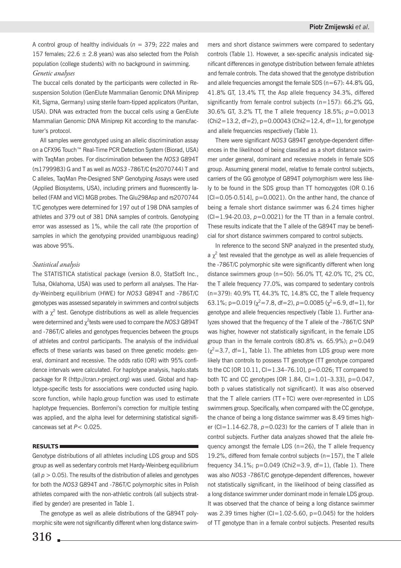A control group of healthy individuals (*n* = 379; 222 males and 157 females;  $22.6 \pm 2.8$  years) was also selected from the Polish population (college students) with no background in swimming.

## *Genetic analyses*

The buccal cells donated by the participants were collected in Resuspension Solution (GenElute Mammalian Genomic DNA Miniprep Kit, Sigma, Germany) using sterile foam-tipped applicators (Puritan, USA). DNA was extracted from the buccal cells using a GenElute Mammalian Genomic DNA Miniprep Kit according to the manufacturer's protocol.

All samples were genotyped using an allelic discrimination assay on a CFX96 Touch™ Real-Time PCR Detection System (Biorad, USA) with TaqMan probes. For discrimination between the *NOS3* G894T (rs1799983) G and T as well as *NOS3* -786T/C **(**rs2070744) T and C alleles, TaqMan Pre-Designed SNP Genotyping Assays were used (Applied Biosystems, USA), including primers and fluorescently labelled (FAM and VIC) MGB probes. The Glu298Asp and rs2070744 T/C genotypes were determined for 197 out of 198 DNA samples of athletes and 379 out of 381 DNA samples of controls. Genotyping error was assessed as 1%, while the call rate (the proportion of samples in which the genotyping provided unambiguous reading) was above 95%.

### *Statistical analysis*

The STATISTICA statistical package (version 8.0, StatSoft Inc., Tulsa, Oklahoma, USA) was used to perform all analyses. The Hardy-Weinberg equilibrium (HWE) for *NOS3* G894T and -786T/C genotypes was assessed separately in swimmers and control subjects with a  $\chi^2$  test. Genotype distributions as well as allele frequencies were determined and  $\chi^2$ tests were used to compare the *NO*S3 G894T and -786T/C alleles and genotypes frequencies between the groups of athletes and control participants. The analysis of the individual effects of these variants was based on three genetic models: general, dominant and recessive. The odds ratio (OR) with 95% confidence intervals were calculated. For haplotype analysis, haplo.stats package for R (http://cran.r-project.org) was used. Global and haplotype-specific tests for associations were conducted using haplo. score function, while haplo.group function was used to estimate haplotype frequencies. Bonferroni's correction for multiple testing was applied, and the alpha level for determining statistical significancewas set at *P*< 0.025.

## **RESULTS**

Genotype distributions of all athletes including LDS group and SDS group as well as sedentary controls met Hardy-Weinberg equilibrium (all  $p > 0.05$ ). The results of the distribution of alleles and genotypes for both the *NOS3* G894T and -786T/C polymorphic sites in Polish athletes compared with the non-athletic controls (all subjects stratified by gender) are presented in Table 1.

The genotype as well as allele distributions of the G894T polymorphic site were not significantly different when long distance swimmers and short distance swimmers were compared to sedentary controls (Table 1). However, a sex-specific analysis indicated significant differences in genotype distribution between female athletes and female controls. The data showed that the genotype distribution and allele frequencies amongst the female SDS ( $n=67$ ): 44.8% GG, 41.8% GT, 13.4% TT, the Asp allele frequency 34.3%, differed significantly from female control subjects ( $n=157$ ): 66.2% GG, 30.6% GT, 3.2% TT, the T allele frequency 18.5%; *p*=0.0013  $(Chi2=13.2, df=2), p=0.00043$  (Chi2=12.4, df=1), for genotype and allele frequencies respectively (Table 1).

There were significant *NOS3* G894T genotype-dependent differences in the likelihood of being classified as a short distance swimmer under general, dominant and recessive models in female SDS group. Assuming general model, relative to female control subjects, carriers of the GG genotype of G894T polymorphism were less likely to be found in the SDS group than TT homozygotes (OR 0.16  $[C]=0.05-0.514$ ],  $p=0.0021$ ). On the anther hand, the chance of being a female short distance swimmer was 6.24 times higher  $(CI=1.94-20.03, p=0.0021)$  for the TT than in a female control. These results indicate that the T allele of the G894T may be beneficial for short distance swimmers compared to control subjects.

In reference to the second SNP analyzed in the presented study, a  $\chi^2$  test revealed that the genotype as well as allele frequencies of the -786T/C polymorphic site were significantly different when long distance swimmers group (n=50): 56.0% TT, 42.0% TC, 2% CC, the T allele frequency 77.0%, was compared to sedentary controls (n=379): 40.9% TT, 44.3% TC, 14.8% CC, the T allele frequency 63.1%;  $p=0.019$  ( $\chi^2=7.8$ , df=2),  $p=0.0085$  ( $\chi^2=6.9$ , df=1), for genotype and allele frequencies respectively (Table 1). Further analyzes showed that the frequency of the T allele of the -786T/C SNP was higher, however not statistically significant, in the female LDS group than in the female controls (80.8% vs. 65.9%); *p*=0.049  $(x^2=3.7, df=1, Table 1)$ . The athletes from LDS group were more likely than controls to possess TT genotype (TT genotype compared to the CC [OR 10.11,  $Cl = 1.34-76.10$ ],  $p=0.026$ ; TT compared to both TC and CC genotypes [OR 1.84, CI=1.01–3.33], p=0.047, both p values statistically not significant). It was also observed that the T allele carriers (TT+TC) were over-represented in LDS swimmers group. Specifically, when compared with the CC genotype, the chance of being a long distance swimmer was 8.49 times higher ( $Cl = 1.14-62.78$ ,  $p=0.023$ ) for the carriers of T allele than in control subjects. Further data analyzes showed that the allele frequency amongst the female LDS (n=26), the T allele frequency 19.2%, differed from female control subjects ( $n=157$ ), the T allele frequency  $34.1\%$ ;  $p=0.049$  (Chi2=3.9, df=1), (Table 1). There was also *NOS3* -786T/C genotype-dependent differences, however not statistically significant, in the likelihood of being classified as a long distance swimmer under dominant mode in female LDS group. It was observed that the chance of being a long distance swimmer was 2.39 times higher ( $Cl = 1.02-5.60$ ,  $p=0.045$ ) for the holders of TT genotype than in a female control subjects. Presented results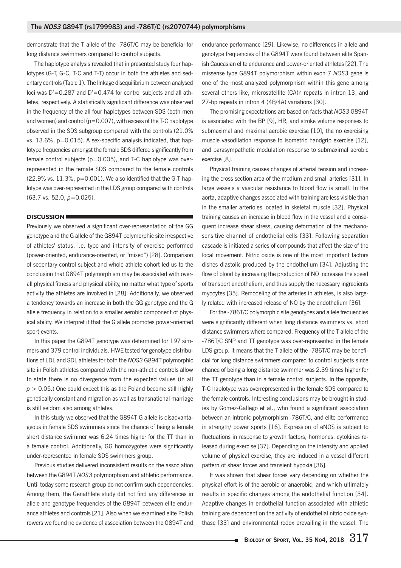demonstrate that the T allele of the -786T/C may be beneficial for long distance swimmers compared to control subjects.

The haplotype analysis revealed that in presented study four haplotypes (G-T, G-C, T-C and T-T) occur in both the athletes and sedentary controls (Table 1). The linkage disequilibrium between analysed loci was D'=0.287 and D'=0.474 for control subjects and all athletes, respectively. A statistically significant difference was observed in the frequency of the all four haplotypes between SDS (both men and women) and control ( $p=0.007$ ), with excess of the T-C haplotype observed in the SDS subgroup compared with the controls (21.0% vs. 13.6%, p=0.015). A sex-specific analysis indicated, that haplotype frequencies amongst the female SDS differed significantly from female control subjects ( $p=0.005$ ), and T-C haplotype was overrepresented in the female SDS compared to the female controls  $(22.9\% \text{ vs. } 11.3\%, \text{ p}=0.001)$ . We also identified that the G-T haplotype was over-represented in the LDS group compared with controls (63.7 vs. 52.0, *p*=0.025).

### **DISCUSSION**

Previously we observed a significant over-representation of the GG genotype and the G allele of the G894T polymorphic site irrespective of athletes' status, i.e. type and intensity of exercise performed (power-oriented, endurance-oriented, or "mixed") [28]. Comparison of sedentary control subject and whole athlete cohort led us to the conclusion that G894T polymorphism may be associated with overall physical fitness and physical ability, no matter what type of sports activity the athletes are involved in [28]. Additionally, we observed a tendency towards an increase in both the GG genotype and the G allele frequency in relation to a smaller aerobic component of physical ability. We interpret it that the G allele promotes power-oriented sport events.

In this paper the G894T genotype was determined for 197 simmers and 379 control individuals. HWE tested for genotype distributions of LDL and SDL athletes for both the *NOS3* G894T polymorphic site in Polish athletes compared with the non-athletic controls allow to state there is no divergence from the expected values (in all  $p > 0.05$ .) One could expect this as the Poland become still highly genetically constant and migration as well as transnational marriage is still seldom also among athletes.

In this study we observed that the G894T G allele is disadvantageous in female SDS swimmers since the chance of being a female short distance swimmer was 6.24 times higher for the TT than in a female control. Additionally, GG homozygotes were significantly under-represented in female SDS swimmers group.

Previous studies delivered inconsistent results on the association between the G894T *NOS3* polymorphism and athletic performance. Until today some research group do not confirm such dependencies. Among them, the Genathlete study did not find any differences in allele and genotype frequencies of the G894T between elite endurance athletes and controls [21]. Also when we examined elite Polish rowers we found no evidence of association between the G894T and endurance performance [29]. Likewise, no differences in allele and genotype frequencies of the G894T were found between elite Spanish Caucasian elite endurance and power-oriented athletes [22]. The missense type G894T polymorphism within exon 7 *NOS3* gene is one of the most analyzed polymorphism within this gene among several others like, microsatellite (CA)n repeats in intron 13, and 27-bp repeats in intron 4 (4B/4A) variations [30].

The promising expectations are based on facts that *NOS3* G894T is associated with the BP [9], HR, and stroke volume responses to submaximal and maximal aerobic exercise [10], the no exercising muscle vasodilation response to isometric handgrip exercise [12], and parasympathetic modulation response to submaximal aerobic exercise [8].

Physical training causes changes of arterial tension and increasing the cross section area of the medium and small arteries [31]. In large vessels a vascular resistance to blood flow is small. In the aorta, adaptive changes associated with training are less visible than in the smaller arterioles located in skeletal muscle [32]. Physical training causes an increase in blood flow in the vessel and a consequent increase shear stress, causing deformation of the mechanosensitive channel of endothelial cells [33]. Following separation cascade is initiated a series of compounds that affect the size of the local movement. Nitric oxide is one of the most important factors dishes diastolic produced by the endothelium [34]. Adjusting the flow of blood by increasing the production of NO increases the speed of transport endothelium, and thus supply the necessary ingredients myocytes [35]. Remodeling of the arteries in athletes, is also largely related with increased release of NO by the endothelium [36].

For the -786T/C polymorphic site genotypes and allele frequencies were significantly different when long distance swimmers vs. short distance swimmers where compared. Frequency of the T allele of the -786T/C SNP and TT genotype was over-represented in the female LDS group. It means that the T allele of the -786T/C may be beneficial for long distance swimmers compared to control subjects since chance of being a long distance swimmer was 2.39 times higher for the TT genotype than in a female control subjects. In the opposite, T-C haplotype was overrepresented in the female SDS compared to the female controls. Interesting conclusions may be brought in studies by Gomez-Gallego et al., who found a significant association between an intronic polymorphism -786T/C, and elite performance in strength/ power sports [16]. Expression of eNOS is subject to fluctuations in response to growth factors, hormones, cytokines released during exercise [37]. Depending on the intensity and applied volume of physical exercise, they are induced in a vessel different pattern of shear forces and transient hypoxia [36].

It was shown that shear forces vary depending on whether the physical effort is of the aerobic or anaerobic, and which ultimately results in specific changes among the endothelial function [34]. Adaptive changes in endothelial function associated with athletic training are dependent on the activity of endothelial nitric oxide synthase [33] and environmental redox prevailing in the vessel. The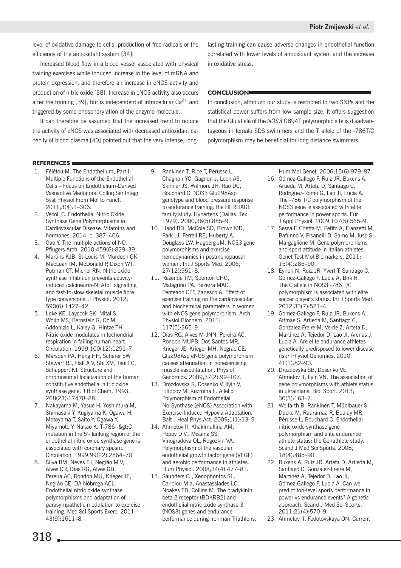level of oxidative damage to cells, production of free radicals or the efficiency of the antioxidant system [34].

Increased blood flow in a blood vessel associated with physical training exercises while induced increase in the level of mRNA and protein expression, and therefore an increase in eNOS activity and production of nitric oxide [38]. Increase in eNOS activity also occurs after the training [39], but is independent of intracellular  $Ca^{2+}$  and triggered by some phosphorylation of the enzyme molecule.

It can therefore be assumed that the increased trend to reduce the activity of eNOS was associated with decreased antioxidant capacity of blood plasma [40] pointed out that the very intense, longlasting training can cause adverse changes in endothelial function correlated with lower levels of antioxidant system and the increase in oxidative stress.

## **CONCLUSION**

In conclusion, although our study is restricted to two SNPs and the statistical power suffers from low sample size, it offers suggestion that the Glu allele of the *NOS3* G894T polymorphic site is disadvantageous in female SDS swimmers and the T allele of the -786T/C polymorphism may be beneficial for long distance swimmers.

## **REFERENCES**

- 1. Félétou M. The Endothelium, Part I: Multiple Functions of the Endothelial Cells – Focus on Endothelium-Derived Vasoactive Mediators. Colloq Ser Integr Syst Physiol From Mol to Funct. 2011;3(4):1–306.
- 2. Vecoli C. Endothelial Nitric Oxide Synthase Gene Polymorphisms in Cardiovascular Disease. Vitamins and hormones. 2014. p. 387–406.
- 3. Gao Y. The multiple actions of NO. Pflugers Arch. 2010;459(6):829–39.
- 4. Martins KJB, St-Louis M, Murdoch GK, MacLean IM, McDonald P, Dixon WT, Putman CT, Michel RN. Nitric oxide synthase inhibition prevents activityinduced calcineurin-NFATc1 signalling and fast-to-slow skeletal muscle fibre type conversions. J Physiol. 2012; 590(6):1427–42.
- 5. Loke KE, Laycock SK, Mital S, Wolin MS, Bernstein R, Oz M, Addonizio L, Kaley G, Hintze TH. Nitric oxide modulates mitochondrial respiration in failing human heart. Circulation. 1999;100(12):1291–7.
- 6. Marsden PA, Heng HH, Scherer SW, Stewart RJ, Hall A V, Shi XM, Tsui LC, Schappert KT. Structure and chromosomal localization of the human constitutive endothelial nitric oxide synthase gene. J Biol Chem. 1993; 268(23):17478–88.
- 7. Nakayama M, Yasue H, Yoshimura M, Shimasaki Y, Kugiyama K, Ogawa H, Motoyama T, Saito Y, Ogawa Y, Miyamoto Y, Nakao K. T-786-->C mutation in the 5'-flanking region of the endothelial nitric oxide synthase gene is associated with coronary spasm. Circulation. 1999;99(22):2864–70.
- 8. Silva BM, Neves FJ, Negrão M V, Alves CR, Dias RG, Alves GB, Pereira AC, Rondon MU, Krieger JE, Negrão CE, DA Nóbrega ACL. Endothelial nitric oxide synthase polymorphisms and adaptation of parasympathetic modulation to exercise training. Med Sci Sports Exerc. 2011; 43(9):1611–8.
- 9. Rankinen T, Rice T, Pérusse L, Chagnon YC, Gagnon J, Leon AS, Skinner JS, Wilmore JH, Rao DC, Bouchard C. NOS3 Glu298Asp genotype and blood pressure response to endurance training: the HERITAGE family study. Hypertens (Dallas, Tex 1979). 2000;36(5):885–9.
- 10. Hand BD, McCole SD, Brown MD, Park JJ, Ferrell RE, Huberty A, Douglass LW, Hagberg JM. NOS3 gene polymorphisms and exercise hemodynamics in postmenopausal women. Int J Sports Med. 2006; 27(12):951–8.
- 11. Rezende TM, Sponton CHG, Malagrino PA, Bezerra MAC, Penteado CFF, Zanesco A. Effect of exercise training on the cardiovascular and biochemical parameters in women with eNOS gene polymorphism. Arch Physiol Biochem. 2011; 117(5):265–9.
- 12. Dias RG, Alves M-JNN, Pereira AC, Rondon MUPB, Dos Santos MR, Krieger JE, Krieger MH, Negrão CE. Glu298Asp eNOS gene polymorphism causes attenuation in nonexercising muscle vasodilatation. Physiol Genomics. 2009;37(2):99–107.
- 13. Drozdovska S, Dosenko V, Ilyin V, Filippov M, Kuzmina L. Allelic Polymorphism of Endothelial No-Synthase (eNOS) Association with Exercise-Induced Hypoxia Adaptation. Balt J Heal Phys Act. 2009;1(1):13–9.
- 14. Ahmetov II, Khakimullina AM, Popov D V., Missina SS, Vinogradova OL, Rogozkin VA. Polymorphism of the vascular endothelial growth factor gene (VEGF) and aerobic performance in athletes. Hum Physiol. 2008;34(4):477–81.
- 15. Saunders CJ, Xenophontos SL, Cariolou M a, Anastassiades LC, Noakes TD, Collins M. The bradykinin beta 2 receptor (BDKRB2) and endothelial nitric oxide synthase 3 (NOS3) genes and endurance performance during Ironman Triathlons.

Hum Mol Genet. 2006;15(6):979–87.

- 16. Gómez-Gallego F, Ruiz JR, Buxens A, Artieda M, Arteta D, Santiago C, Rodríguez-Romo G, Lao JI, Lucia A. The -786 T/C polymorphism of the NOS3 gene is associated with elite performance in power sports. Eur J Appl Physiol. 2009;107(5):565–9.
- 17. Sessa F, Chetta M, Petito A, Franzetti M, Bafunno V, Pisanelli D, Sarno M, Iuso S, Margaglione M. Gene polymorphisms and sport attitude in Italian athletes. Genet Test Mol Biomarkers. 2011; 15(4):285–90.
- 18. Eynon N, Ruiz JR, Yvert T, Santiago C, Gómez-Gallego F, Lucia A, Birk R. The C allele in NOS3 -786 T/C polymorphism is associated with elite soccer player's status. Int J Sports Med. 2012;33(7):521–4.
- 19. Gomez-Gallego F, Ruiz JR, Buxens A, Altmae S, Artieda M, Santiago C, Gonzalez-Freire M, Verde Z, Arteta D, Martinez A, Tejedor D, Lao JI, Arenas J, Lucia A. Are elite endurance athletes genetically predisposed to lower disease risk? Physiol Genomics. 2010; 41(1):82–90.
- 20. Drozdovska SB, Dosenko VE, Ahmetov II, Ilyin VN. The association of gene polymorphisms with athlete status in ukrainians. Biol Sport. 2013; 30(3):163–7.
- 21. Wolfarth B, Rankinen T, Mühlbauer S, Ducke M, Rauramaa R, Boulay MR, Pérusse L, Bouchard C. Endothelial nitric oxide synthase gene polymorphism and elite endurance athlete status: the Genathlete study. Scand J Med Sci Sports. 2008; 18(4):485–90.
- 22. Buxens A, Ruiz JR, Arteta D, Artieda M, Santiago C, González-Freire M, Martínez A, Tejedor D, Lao JI, Gómez-Gallego F, Lucia A. Can we predict top-level sports performance in power vs endurance events? A genetic approach. Scand J Med Sci Sports. 2011;21(4):570–9.
- 23. Ahmetov II, Fedotovskaya ON. Current